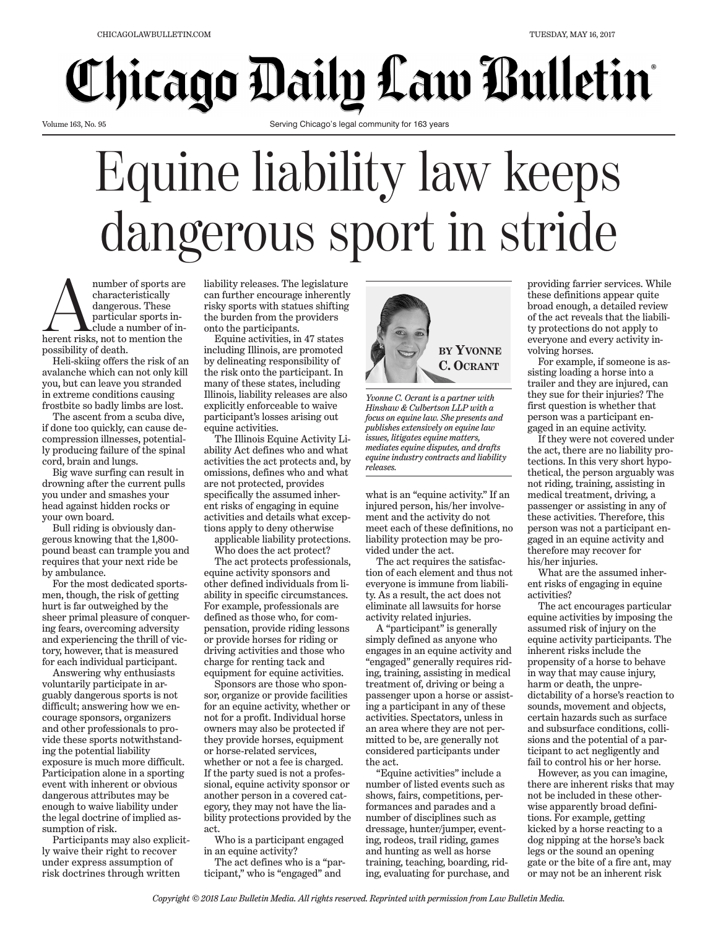## **Chicago Daily Law Bulletin**

Volume 163, No. 95

Serving Chicago's legal community for 163 years

## Equine liability law keeps dangerous sport in stride

mumber of sports are<br>
characteristically<br>
dangerous. These<br>
particular sports in-<br>
clude a number of in-<br>
rent risks, not to mention the number of sports are<br>characteristically dangerous. These particular sports include a number of inpossibility of death.

Heli-skiing offers the risk of an avalanche which can not only kill you, but can leave you stranded in extreme conditions causing frostbite so badly limbs are lost.

The ascent from a scuba dive, if done too quickly, can cause decompression illnesses, potentially producing failure of the spinal cord, brain and lungs.

Big wave surfing can result in drowning after the current pulls you under and smashes your head against hidden rocks or your own board.

Bull riding is obviously dangerous knowing that the 1,800 pound beast can trample you and requires that your next ride be by ambulance.

For the most dedicated sportsmen, though, the risk of getting hurt is far outweighed by the sheer primal pleasure of conquering fears, overcoming adversity and experiencing the thrill of victory, however, that is measured for each individual participant.

Answering why enthusiasts voluntarily participate in arguably dangerous sports is not difficult; answering how we encourage sponsors, organizers and other professionals to provide these sports notwithstanding the potential liability exposure is much more difficult. Participation alone in a sporting event with inherent or obvious dangerous attributes may be enough to waive liability under the legal doctrine of implied assumption of risk.

Participants may also explicitly waive their right to recover under express assumption of risk doctrines through written

liability releases. The legislature can further encourage inherently risky sports with statues shifting the burden from the providers onto the participants.

Equine activities, in 47 states including Illinois, are promoted by delineating responsibility of the risk onto the participant. In many of these states, including Illinois, liability releases are also explicitly enforceable to waive participant's losses arising out equine activities.

The Illinois Equine Activity Liability Act defines who and what activities the act protects and, by omissions, defines who and what are not protected, provides specifically the assumed inherent risks of engaging in equine activities and details what exceptions apply to deny otherwise

applicable liability protections. Who does the act protect?

The act protects professionals, equine activity sponsors and other defined individuals from liability in specific circumstances. For example, professionals are defined as those who, for compensation, provide riding lessons or provide horses for riding or driving activities and those who charge for renting tack and equipment for equine activities.

Sponsors are those who sponsor, organize or provide facilities for an equine activity, whether or not for a profit. Individual horse owners may also be protected if they provide horses, equipment or horse-related services, whether or not a fee is charged. If the party sued is not a professional, equine activity sponsor or another person in a covered category, they may not have the liability protections provided by the act.

Who is a participant engaged in an equine activity?

The act defines who is a "participant," who is "engaged" and



*Yvonne C. Ocrant is a partner with Hinshaw & Culbertson LLP with a focus on equine law. She presents and publishes extensively on equine law issues, litigates equine matters, mediates equine disputes, and drafts equine industry contracts and liability releases.*

what is an "equine activity." If an injured person, his/her involvement and the activity do not meet each of these definitions, no liability protection may be provided under the act.

The act requires the satisfaction of each element and thus not everyone is immune from liability. As a result, the act does not eliminate all lawsuits for horse activity related injuries.

A "participant" is generally simply defined as anyone who engages in an equine activity and "engaged" generally requires riding, training, assisting in medical treatment of, driving or being a passenger upon a horse or assisting a participant in any of these activities. Spectators, unless in an area where they are not permitted to be, are generally not considered participants under the act.

"Equine activities" include a number of listed events such as shows, fairs, competitions, performances and parades and a number of disciplines such as dressage, hunter/jumper, eventing, rodeos, trail riding, games and hunting as well as horse training, teaching, boarding, riding, evaluating for purchase, and

providing farrier services. While these definitions appear quite broad enough, a detailed review of the act reveals that the liability protections do not apply to everyone and every activity involving horses.

For example, if someone is assisting loading a horse into a trailer and they are injured, can they sue for their injuries? The first question is whether that person was a participant engaged in an equine activity.

If they were not covered under the act, there are no liability protections. In this very short hypothetical, the person arguably was not riding, training, assisting in medical treatment, driving, a passenger or assisting in any of these activities. Therefore, this person was not a participant engaged in an equine activity and therefore may recover for his/her injuries.

What are the assumed inherent risks of engaging in equine activities?

The act encourages particular equine activities by imposing the assumed risk of injury on the equine activity participants. The inherent risks include the propensity of a horse to behave in way that may cause injury, harm or death, the unpredictability of a horse's reaction to sounds, movement and objects, certain hazards such as surface and subsurface conditions, collisions and the potential of a participant to act negligently and fail to control his or her horse.

However, as you can imagine, there are inherent risks that may not be included in these otherwise apparently broad definitions. For example, getting kicked by a horse reacting to a dog nipping at the horse's back legs or the sound an opening gate or the bite of a fire ant, may or may not be an inherent risk